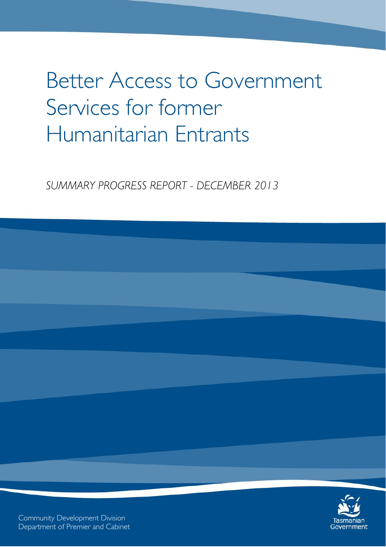# Better Access to Government Services for former Humanitarian Entrants

*SUMMARY PROGRESS REPORT - DECEMBER 2013*



Community Development Division Department of Premier and Cabinet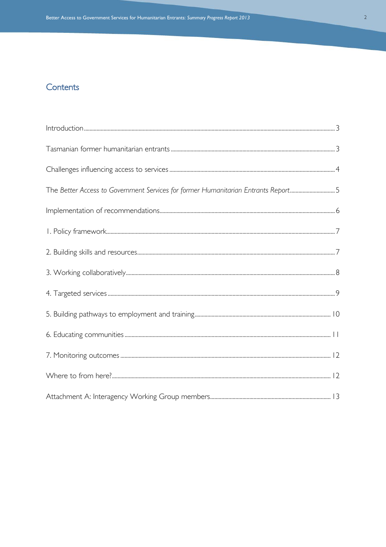## Contents

| The Better Access to Government Services for former Humanitarian Entrants Report5 |  |
|-----------------------------------------------------------------------------------|--|
|                                                                                   |  |
|                                                                                   |  |
|                                                                                   |  |
|                                                                                   |  |
|                                                                                   |  |
|                                                                                   |  |
|                                                                                   |  |
|                                                                                   |  |
|                                                                                   |  |
|                                                                                   |  |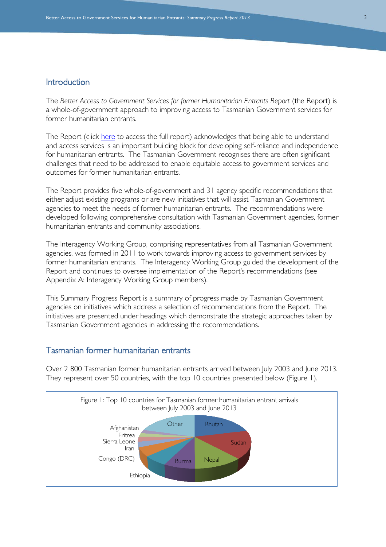## <span id="page-2-0"></span>Introduction

The *Better Access to Government Services for former Humanitarian Entrants Report* (the Report) is a whole-of-government approach to improving access to Tasmanian Government services for former humanitarian entrants.

The Report (click [here](http://www.dpac.tas.gov.au/__data/assets/pdf_file/0004/171553/Better_Access_to_Government_Services_for_Former_Humanitarian_Entrants_Report_2012.pdf) to access the full report) acknowledges that being able to understand and access services is an important building block for developing self-reliance and independence for humanitarian entrants. The Tasmanian Government recognises there are often significant challenges that need to be addressed to enable equitable access to government services and outcomes for former humanitarian entrants.

The Report provides five whole-of-government and 31 agency specific recommendations that either adjust existing programs or are new initiatives that will assist Tasmanian Government agencies to meet the needs of former humanitarian entrants. The recommendations were developed following comprehensive consultation with Tasmanian Government agencies, former humanitarian entrants and community associations.

The Interagency Working Group, comprising representatives from all Tasmanian Government agencies, was formed in 2011 to work towards improving access to government services by former humanitarian entrants. The Interagency Working Group guided the development of the Report and continues to oversee implementation of the Report's recommendations (see Appendix A: Interagency Working Group members).

This Summary Progress Report is a summary of progress made by Tasmanian Government agencies on initiatives which address a selection of recommendations from the Report. The initiatives are presented under headings which demonstrate the strategic approaches taken by Tasmanian Government agencies in addressing the recommendations.

## <span id="page-2-1"></span>Tasmanian former humanitarian entrants

Over 2 800 Tasmanian former humanitarian entrants arrived between July 2003 and June 2013. They represent over 50 countries, with the top 10 countries presented below (Figure 1).

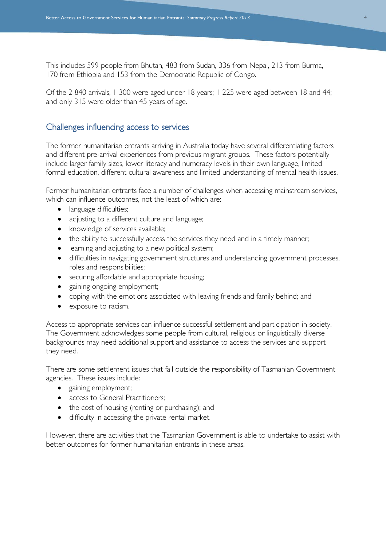This includes 599 people from Bhutan, 483 from Sudan, 336 from Nepal, 213 from Burma, 170 from Ethiopia and 153 from the Democratic Republic of Congo.

Of the 2 840 arrivals, 1 300 were aged under 18 years; 1 225 were aged between 18 and 44; and only 315 were older than 45 years of age.

#### <span id="page-3-0"></span>Challenges influencing access to services

The former humanitarian entrants arriving in Australia today have several differentiating factors and different pre-arrival experiences from previous migrant groups. These factors potentially include larger family sizes, lower literacy and numeracy levels in their own language, limited formal education, different cultural awareness and limited understanding of mental health issues.

Former humanitarian entrants face a number of challenges when accessing mainstream services, which can influence outcomes, not the least of which are:

- language difficulties;
- adjusting to a different culture and language;
- knowledge of services available;
- the ability to successfully access the services they need and in a timely manner;
- learning and adjusting to a new political system;
- difficulties in navigating government structures and understanding government processes, roles and responsibilities;
- securing affordable and appropriate housing;
- gaining ongoing employment;
- coping with the emotions associated with leaving friends and family behind; and
- exposure to racism.

Access to appropriate services can influence successful settlement and participation in society. The Government acknowledges some people from cultural, religious or linguistically diverse backgrounds may need additional support and assistance to access the services and support they need.

There are some settlement issues that fall outside the responsibility of Tasmanian Government agencies. These issues include:

- gaining employment;
- access to General Practitioners;
- the cost of housing (renting or purchasing); and
- difficulty in accessing the private rental market.

However, there are activities that the Tasmanian Government is able to undertake to assist with better outcomes for former humanitarian entrants in these areas.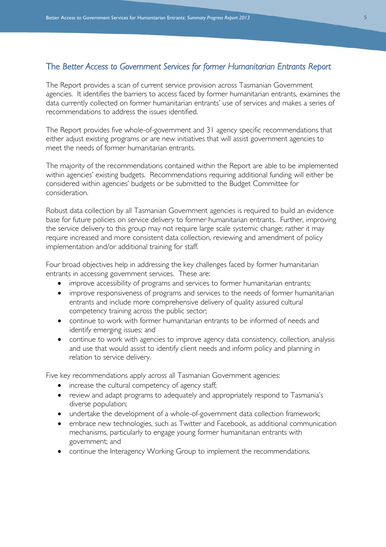### <span id="page-4-0"></span>The *Better Access to Government Services for former Humanitarian Entrants Report*

The Report provides a scan of current service provision across Tasmanian Government agencies. It identifies the barriers to access faced by former humanitarian entrants, examines the data currently collected on former humanitarian entrants' use of services and makes a series of recommendations to address the issues identified.

The Report provides five whole-of-government and 31 agency specific recommendations that either adjust existing programs or are new initiatives that will assist government agencies to meet the needs of former humanitarian entrants.

The majority of the recommendations contained within the Report are able to be implemented within agencies' existing budgets. Recommendations requiring additional funding will either be considered within agencies' budgets or be submitted to the Budget Committee for consideration.

Robust data collection by all Tasmanian Government agencies is required to build an evidence base for future policies on service delivery to former humanitarian entrants. Further, improving the service delivery to this group may not require large scale systemic change; rather it may require increased and more consistent data collection, reviewing and amendment of policy implementation and/or additional training for staff.

Four broad objectives help in addressing the key challenges faced by former humanitarian entrants in accessing government services. These are:

- improve accessibility of programs and services to former humanitarian entrants;
- improve responsiveness of programs and services to the needs of former humanitarian entrants and include more comprehensive delivery of quality assured cultural competency training across the public sector;
- continue to work with former humanitarian entrants to be informed of needs and identify emerging issues; and
- continue to work with agencies to improve agency data consistency, collection, analysis and use that would assist to identify client needs and inform policy and planning in relation to service delivery.

Five key recommendations apply across all Tasmanian Government agencies:

- increase the cultural competency of agency staff;
- review and adapt programs to adequately and appropriately respond to Tasmania's diverse population;
- undertake the development of a whole-of-government data collection framework;
- embrace new technologies, such as Twitter and Facebook, as additional communication mechanisms, particularly to engage young former humanitarian entrants with government; and
- continue the Interagency Working Group to implement the recommendations.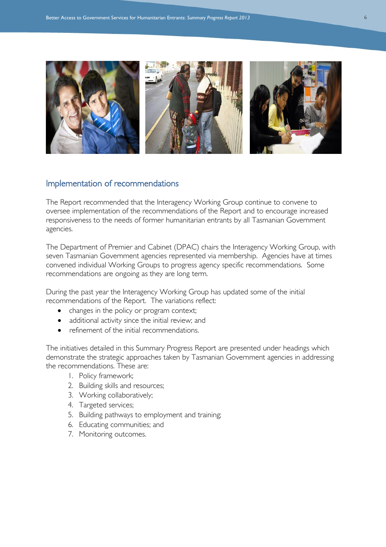

#### <span id="page-5-0"></span>Implementation of recommendations

The Report recommended that the Interagency Working Group continue to convene to oversee implementation of the recommendations of the Report and to encourage increased responsiveness to the needs of former humanitarian entrants by all Tasmanian Government agencies.

The Department of Premier and Cabinet (DPAC) chairs the Interagency Working Group, with seven Tasmanian Government agencies represented via membership. Agencies have at times convened individual Working Groups to progress agency specific recommendations. Some recommendations are ongoing as they are long term.

During the past year the Interagency Working Group has updated some of the initial recommendations of the Report. The variations reflect:

- changes in the policy or program context;
- additional activity since the initial review; and
- refinement of the initial recommendations.

The initiatives detailed in this Summary Progress Report are presented under headings which demonstrate the strategic approaches taken by Tasmanian Government agencies in addressing the recommendations. These are:

- 1. Policy framework;
- 2. Building skills and resources;
- 3. Working collaboratively;
- 4. Targeted services;
- 5. Building pathways to employment and training;
- 6. Educating communities; and
- 7. Monitoring outcomes.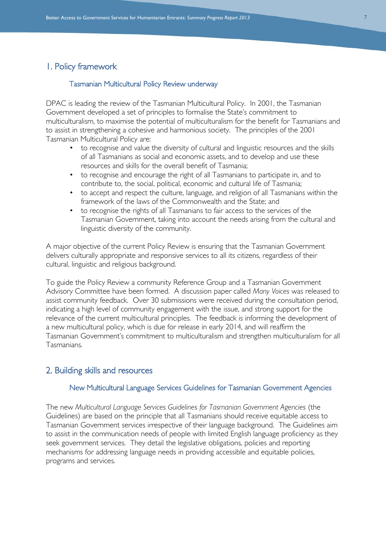## <span id="page-6-0"></span>1. Policy framework

#### Tasmanian Multicultural Policy Review underway

DPAC is leading the review of the Tasmanian Multicultural Policy. In 2001, the Tasmanian Government developed a set of principles to formalise the State's commitment to multiculturalism, to maximise the potential of multiculturalism for the benefit for Tasmanians and to assist in strengthening a cohesive and harmonious society. The principles of the 2001 Tasmanian Multicultural Policy are:

- to recognise and value the diversity of cultural and linguistic resources and the skills of all Tasmanians as social and economic assets, and to develop and use these resources and skills for the overall benefit of Tasmania;
- to recognise and encourage the right of all Tasmanians to participate in, and to contribute to, the social, political, economic and cultural life of Tasmania;
- to accept and respect the culture, language, and religion of all Tasmanians within the framework of the laws of the Commonwealth and the State; and
- to recognise the rights of all Tasmanians to fair access to the services of the Tasmanian Government, taking into account the needs arising from the cultural and linguistic diversity of the community.

A major objective of the current Policy Review is ensuring that the Tasmanian Government delivers culturally appropriate and responsive services to all its citizens, regardless of their cultural, linguistic and religious background.

To guide the Policy Review a community Reference Group and a Tasmanian Government Advisory Committee have been formed. A discussion paper called *Many Voices* was released to assist community feedback. Over 30 submissions were received during the consultation period, indicating a high level of community engagement with the issue, and strong support for the relevance of the current multicultural principles. The feedback is informing the development of a new multicultural policy, which is due for release in early 2014, and will reaffirm the Tasmanian Government's commitment to multiculturalism and strengthen multiculturalism for all Tasmanians.

#### <span id="page-6-1"></span>2. Building skills and resources

#### New Multicultural Language Services Guidelines for Tasmanian Government Agencies

The new *Multicultural Language Services Guidelines for Tasmanian Government Agencies* (the Guidelines) are based on the principle that all Tasmanians should receive equitable access to Tasmanian Government services irrespective of their language background. The Guidelines aim to assist in the communication needs of people with limited English language proficiency as they seek government services. They detail the legislative obligations, policies and reporting mechanisms for addressing language needs in providing accessible and equitable policies, programs and services.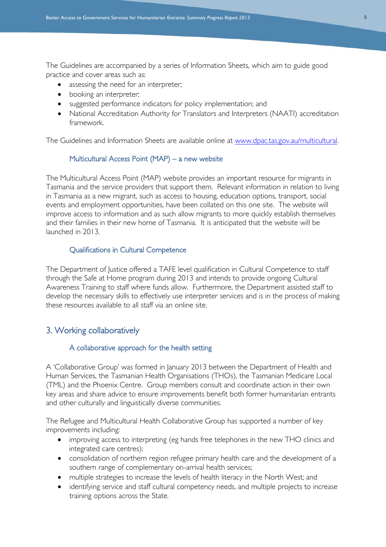The Guidelines are accompanied by a series of Information Sheets, which aim to guide good practice and cover areas such as:

- assessing the need for an interpreter;
- booking an interpreter;
- suggested performance indicators for policy implementation; and
- National Accreditation Authority for Translators and Interpreters (NAATI) accreditation framework.

The Guidelines and Information Sheets are available online at [www.dpac.tas.gov.au/multicultural.](http://www.dpac.tas.gov.au/multicultural)

#### Multicultural Access Point (MAP) – a new website

The Multicultural Access Point (MAP) website provides an important resource for migrants in Tasmania and the service providers that support them. Relevant information in relation to living in Tasmania as a new migrant, such as access to housing, education options, transport, social events and employment opportunities, have been collated on this one site. The website will improve access to information and as such allow migrants to more quickly establish themselves and their families in their new home of Tasmania. It is anticipated that the website will be launched in 2013.

#### Qualifications in Cultural Competence

The Department of Justice offered a TAFE level qualification in Cultural Competence to staff through the Safe at Home program during 2013 and intends to provide ongoing Cultural Awareness Training to staff where funds allow. Furthermore, the Department assisted staff to develop the necessary skills to effectively use interpreter services and is in the process of making these resources available to all staff via an online site.

#### <span id="page-7-0"></span>3. Working collaboratively

#### A collaborative approach for the health setting

A 'Collaborative Group' was formed in January 2013 between the Department of Health and Human Services, the Tasmanian Health Organisations (THOs), the Tasmanian Medicare Local (TML) and the Phoenix Centre. Group members consult and coordinate action in their own key areas and share advice to ensure improvements benefit both former humanitarian entrants and other culturally and linguistically diverse communities.

The Refugee and Multicultural Health Collaborative Group has supported a number of key improvements including:

- improving access to interpreting (eg hands free telephones in the new THO clinics and integrated care centres);
- consolidation of northern region refugee primary health care and the development of a southern range of complementary on-arrival health services;
- multiple strategies to increase the levels of health literacy in the North West; and
- identifying service and staff cultural competency needs, and multiple projects to increase training options across the State.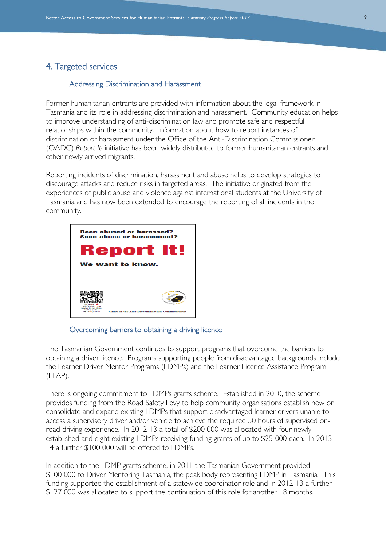## <span id="page-8-0"></span>4. Targeted services

#### Addressing Discrimination and Harassment

Former humanitarian entrants are provided with information about the legal framework in Tasmania and its role in addressing discrimination and harassment. Community education helps to improve understanding of anti-discrimination law and promote safe and respectful relationships within the community. Information about how to report instances of discrimination or harassment under the Office of the Anti-Discrimination Commissioner (OADC) *Report It!* initiative has been widely distributed to former humanitarian entrants and other newly arrived migrants.

Reporting incidents of discrimination, harassment and abuse helps to develop strategies to discourage attacks and reduce risks in targeted areas. The initiative originated from the experiences of public abuse and violence against international students at the University of Tasmania and has now been extended to encourage the reporting of all incidents in the community.



Overcoming barriers to obtaining a driving licence

The Tasmanian Government continues to support programs that overcome the barriers to obtaining a driver licence. Programs supporting people from disadvantaged backgrounds include the Learner Driver Mentor Programs (LDMPs) and the Learner Licence Assistance Program (LLAP).

There is ongoing commitment to LDMPs grants scheme. Established in 2010, the scheme provides funding from the Road Safety Levy to help community organisations establish new or consolidate and expand existing LDMPs that support disadvantaged learner drivers unable to access a supervisory driver and/or vehicle to achieve the required 50 hours of supervised onroad driving experience. In 2012-13 a total of \$200 000 was allocated with four newly established and eight existing LDMPs receiving funding grants of up to \$25 000 each. In 2013- 14 a further \$100 000 will be offered to LDMPs.

In addition to the LDMP grants scheme, in 2011 the Tasmanian Government provided \$100 000 to Driver Mentoring Tasmania, the peak body representing LDMP in Tasmania. This funding supported the establishment of a statewide coordinator role and in 2012-13 a further \$127 000 was allocated to support the continuation of this role for another 18 months.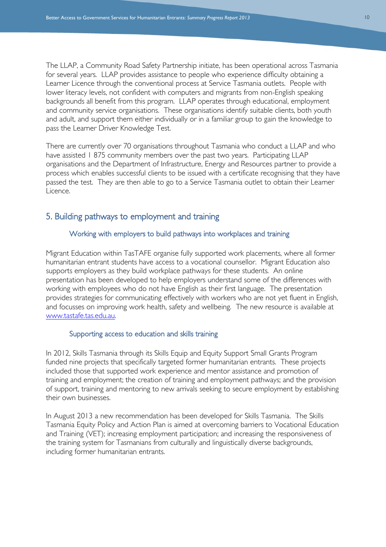The LLAP, a Community Road Safety Partnership initiate, has been operational across Tasmania for several years. LLAP provides assistance to people who experience difficulty obtaining a Learner Licence through the conventional process at Service Tasmania outlets. People with lower literacy levels, not confident with computers and migrants from non-English speaking backgrounds all benefit from this program. LLAP operates through educational, employment and community service organisations. These organisations identify suitable clients, both youth and adult, and support them either individually or in a familiar group to gain the knowledge to pass the Learner Driver Knowledge Test.

There are currently over 70 organisations throughout Tasmania who conduct a LLAP and who have assisted 1 875 community members over the past two years. Participating LLAP organisations and the Department of Infrastructure, Energy and Resources partner to provide a process which enables successful clients to be issued with a certificate recognising that they have passed the test. They are then able to go to a Service Tasmania outlet to obtain their Learner Licence.

#### <span id="page-9-0"></span>5. Building pathways to employment and training

#### Working with employers to build pathways into workplaces and training

Migrant Education within TasTAFE organise fully supported work placements, where all former humanitarian entrant students have access to a vocational counsellor. Migrant Education also supports employers as they build workplace pathways for these students. An online presentation has been developed to help employers understand some of the differences with working with employees who do not have English as their first language. The presentation provides strategies for communicating effectively with workers who are not yet fluent in English, and focusses on improving work health, safety and wellbeing. The new resource is available at [www.tastafe.tas.edu.au.](http://www.tastafe.tas.edu.au/)

#### Supporting access to education and skills training

In 2012, Skills Tasmania through its Skills Equip and Equity Support Small Grants Program funded nine projects that specifically targeted former humanitarian entrants. These projects included those that supported work experience and mentor assistance and promotion of training and employment; the creation of training and employment pathways; and the provision of support, training and mentoring to new arrivals seeking to secure employment by establishing their own businesses.

In August 2013 a new recommendation has been developed for Skills Tasmania. The Skills Tasmania Equity Policy and Action Plan is aimed at overcoming barriers to Vocational Education and Training (VET); increasing employment participation; and increasing the responsiveness of the training system for Tasmanians from culturally and linguistically diverse backgrounds, including former humanitarian entrants.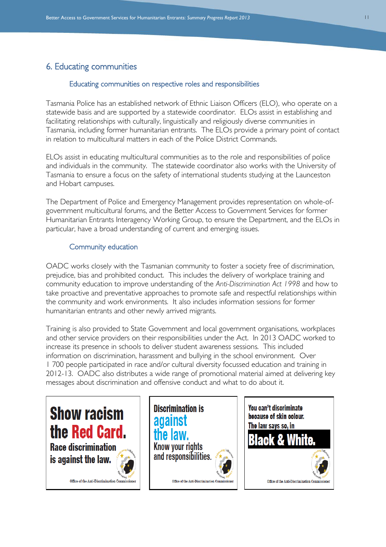## <span id="page-10-0"></span>6. Educating communities

#### Educating communities on respective roles and responsibilities

Tasmania Police has an established network of Ethnic Liaison Officers (ELO), who operate on a statewide basis and are supported by a statewide coordinator. ELOs assist in establishing and facilitating relationships with culturally, linguistically and religiously diverse communities in Tasmania, including former humanitarian entrants. The ELOs provide a primary point of contact in relation to multicultural matters in each of the Police District Commands.

ELOs assist in educating multicultural communities as to the role and responsibilities of police and individuals in the community. The statewide coordinator also works with the University of Tasmania to ensure a focus on the safety of international students studying at the Launceston and Hobart campuses.

The Department of Police and Emergency Management provides representation on whole-ofgovernment multicultural forums, and the Better Access to Government Services for former Humanitarian Entrants Interagency Working Group, to ensure the Department, and the ELOs in particular, have a broad understanding of current and emerging issues.

#### Community education

OADC works closely with the Tasmanian community to foster a society free of discrimination, prejudice, bias and prohibited conduct. This includes the delivery of workplace training and community education to improve understanding of the *Anti-Discrimination Act 1998* and how to take proactive and preventative approaches to promote safe and respectful relationships within the community and work environments. It also includes information sessions for former humanitarian entrants and other newly arrived migrants.

Training is also provided to State Government and local government organisations, workplaces and other service providers on their responsibilities under the Act. In 2013 OADC worked to increase its presence in schools to deliver student awareness sessions. This included information on discrimination, harassment and bullying in the school environment. Over 1 700 people participated in race and/or cultural diversity focussed education and training in 2012-13. OADC also distributes a wide range of promotional material aimed at delivering key messages about discrimination and offensive conduct and what to do about it.

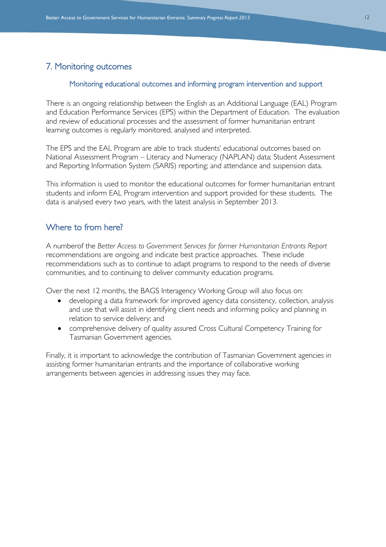## <span id="page-11-0"></span>7. Monitoring outcomes

#### Monitoring educational outcomes and informing program intervention and support

There is an ongoing relationship between the English as an Additional Language (EAL) Program and Education Performance Services (EPS) within the Department of Education. The evaluation and review of educational processes and the assessment of former humanitarian entrant learning outcomes is regularly monitored, analysed and interpreted.

The EPS and the EAL Program are able to track students' educational outcomes based on National Assessment Program – Literacy and Numeracy (NAPLAN) data; Student Assessment and Reporting Information System (SARIS) reporting; and attendance and suspension data.

This information is used to monitor the educational outcomes for former humanitarian entrant students and inform EAL Program intervention and support provided for these students. The data is analysed every two years, with the latest analysis in September 2013.

## <span id="page-11-1"></span>Where to from here?

A numberof the *Better Access to Government Services for former Humanitarian Entrants Report* recommendations are ongoing and indicate best practice approaches. These include recommendations such as to continue to adapt programs to respond to the needs of diverse communities, and to continuing to deliver community education programs.

Over the next 12 months, the BAGS Interagency Working Group will also focus on:

- developing a data framework for improved agency data consistency, collection, analysis and use that will assist in identifying client needs and informing policy and planning in relation to service delivery; and
- comprehensive delivery of quality assured Cross Cultural Competency Training for Tasmanian Government agencies.

Finally, it is important to acknowledge the contribution of Tasmanian Government agencies in assisting former humanitarian entrants and the importance of collaborative working arrangements between agencies in addressing issues they may face.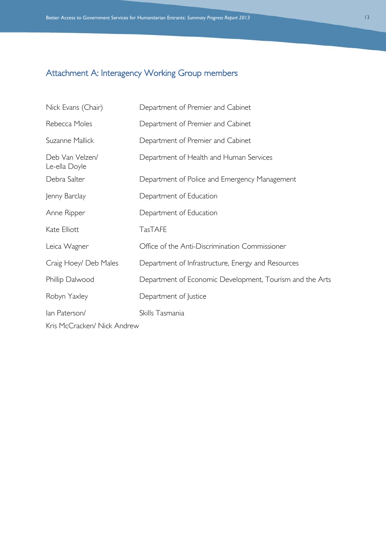## <span id="page-12-0"></span>Attachment A: Interagency Working Group members

| Nick Evans (Chair)               | Department of Premier and Cabinet                        |
|----------------------------------|----------------------------------------------------------|
| Rebecca Moles                    | Department of Premier and Cabinet                        |
| Suzanne Mallick                  | Department of Premier and Cabinet                        |
| Deb Van Velzen/<br>Le-ella Doyle | Department of Health and Human Services                  |
| Debra Salter                     | Department of Police and Emergency Management            |
| Jenny Barclay                    | Department of Education                                  |
| Anne Ripper                      | Department of Education                                  |
| Kate Elliott                     | <b>TasTAFE</b>                                           |
| Leica Wagner                     | Office of the Anti-Discrimination Commissioner           |
| Craig Hoey/ Deb Males            | Department of Infrastructure, Energy and Resources       |
| Phillip Dalwood                  | Department of Economic Development, Tourism and the Arts |
| Robyn Yaxley                     | Department of Justice                                    |
| lan Paterson/                    | Skills Tasmania                                          |
| Kris McCracken/ Nick Andrew      |                                                          |